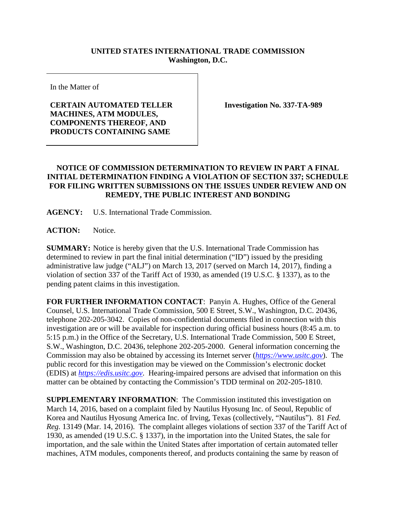## **UNITED STATES INTERNATIONAL TRADE COMMISSION Washington, D.C.**

In the Matter of

## **CERTAIN AUTOMATED TELLER MACHINES, ATM MODULES, COMPONENTS THEREOF, AND PRODUCTS CONTAINING SAME**

**Investigation No. 337-TA-989**

## **NOTICE OF COMMISSION DETERMINATION TO REVIEW IN PART A FINAL INITIAL DETERMINATION FINDING A VIOLATION OF SECTION 337; SCHEDULE FOR FILING WRITTEN SUBMISSIONS ON THE ISSUES UNDER REVIEW AND ON REMEDY, THE PUBLIC INTEREST AND BONDING**

**AGENCY:** U.S. International Trade Commission.

**ACTION:** Notice.

**SUMMARY:** Notice is hereby given that the U.S. International Trade Commission has determined to review in part the final initial determination ("ID") issued by the presiding administrative law judge ("ALJ") on March 13, 2017 (served on March 14, 2017), finding a violation of section 337 of the Tariff Act of 1930, as amended (19 U.S.C. § 1337), as to the pending patent claims in this investigation.

**FOR FURTHER INFORMATION CONTACT**: Panyin A. Hughes, Office of the General Counsel, U.S. International Trade Commission, 500 E Street, S.W., Washington, D.C. 20436, telephone 202-205-3042. Copies of non-confidential documents filed in connection with this investigation are or will be available for inspection during official business hours (8:45 a.m. to 5:15 p.m.) in the Office of the Secretary, U.S. International Trade Commission, 500 E Street, S.W., Washington, D.C. 20436, telephone 202-205-2000. General information concerning the Commission may also be obtained by accessing its Internet server (*[https://www.usitc.gov](https://www.usitc.gov/)*). The public record for this investigation may be viewed on the Commission's electronic docket (EDIS) at *[https://edis.usitc.gov](https://edis.usitc.gov/)*. Hearing-impaired persons are advised that information on this matter can be obtained by contacting the Commission's TDD terminal on 202-205-1810.

**SUPPLEMENTARY INFORMATION**: The Commission instituted this investigation on March 14, 2016, based on a complaint filed by Nautilus Hyosung Inc. of Seoul, Republic of Korea and Nautilus Hyosung America Inc. of Irving, Texas (collectively, "Nautilus"). 81 *Fed. Reg.* 13149 (Mar. 14, 2016). The complaint alleges violations of section 337 of the Tariff Act of 1930, as amended (19 U.S.C. § 1337), in the importation into the United States, the sale for importation, and the sale within the United States after importation of certain automated teller machines, ATM modules, components thereof, and products containing the same by reason of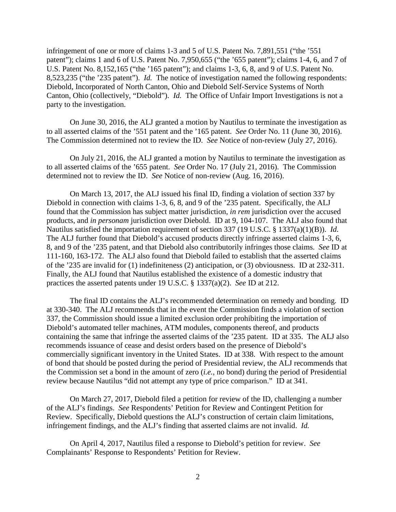infringement of one or more of claims 1-3 and 5 of U.S. Patent No. 7,891,551 ("the '551 patent"); claims 1 and 6 of U.S. Patent No. 7,950,655 ("the '655 patent"); claims 1-4, 6, and 7 of U.S. Patent No. 8,152,165 ("the '165 patent"); and claims 1-3, 6, 8, and 9 of U.S. Patent No. 8,523,235 ("the '235 patent"). *Id.* The notice of investigation named the following respondents: Diebold, Incorporated of North Canton, Ohio and Diebold Self-Service Systems of North Canton, Ohio (collectively, "Diebold"). *Id.* The Office of Unfair Import Investigations is not a party to the investigation.

On June 30, 2016, the ALJ granted a motion by Nautilus to terminate the investigation as to all asserted claims of the '551 patent and the '165 patent. *See* Order No. 11 (June 30, 2016). The Commission determined not to review the ID. *See* Notice of non-review (July 27, 2016).

On July 21, 2016, the ALJ granted a motion by Nautilus to terminate the investigation as to all asserted claims of the '655 patent. *See* Order No. 17 (July 21, 2016). The Commission determined not to review the ID. *See* Notice of non-review (Aug. 16, 2016).

On March 13, 2017, the ALJ issued his final ID, finding a violation of section 337 by Diebold in connection with claims 1-3, 6, 8, and 9 of the '235 patent. Specifically, the ALJ found that the Commission has subject matter jurisdiction, *in rem* jurisdiction over the accused products, and *in personam* jurisdiction over Diebold. ID at 9, 104-107. The ALJ also found that Nautilus satisfied the importation requirement of section 337 (19 U.S.C. § 1337(a)(1)(B)). *Id.* The ALJ further found that Diebold's accused products directly infringe asserted claims 1-3, 6, 8, and 9 of the '235 patent, and that Diebold also contributorily infringes those claims. *See* ID at 111-160, 163-172. The ALJ also found that Diebold failed to establish that the asserted claims of the '235 are invalid for (1) indefiniteness (2) anticipation, or (3) obviousness. ID at 232-311. Finally, the ALJ found that Nautilus established the existence of a domestic industry that practices the asserted patents under 19 U.S.C. § 1337(a)(2). *See* ID at 212.

The final ID contains the ALJ's recommended determination on remedy and bonding. ID at 330-340. The ALJ recommends that in the event the Commission finds a violation of section 337, the Commission should issue a limited exclusion order prohibiting the importation of Diebold's automated teller machines, ATM modules, components thereof, and products containing the same that infringe the asserted claims of the '235 patent. ID at 335. The ALJ also recommends issuance of cease and desist orders based on the presence of Diebold's commercially significant inventory in the United States. ID at 338. With respect to the amount of bond that should be posted during the period of Presidential review, the ALJ recommends that the Commission set a bond in the amount of zero (*i.e.*, no bond) during the period of Presidential review because Nautilus "did not attempt any type of price comparison." ID at 341.

On March 27, 2017, Diebold filed a petition for review of the ID, challenging a number of the ALJ's findings. *See* Respondents' Petition for Review and Contingent Petition for Review. Specifically, Diebold questions the ALJ's construction of certain claim limitations, infringement findings, and the ALJ's finding that asserted claims are not invalid. *Id.*

On April 4, 2017, Nautilus filed a response to Diebold's petition for review. *See* Complainants' Response to Respondents' Petition for Review.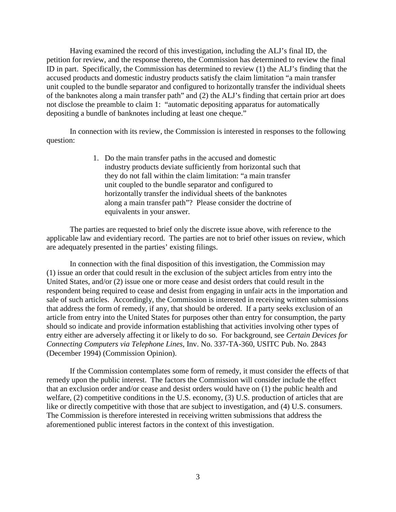Having examined the record of this investigation, including the ALJ's final ID, the petition for review, and the response thereto, the Commission has determined to review the final ID in part. Specifically, the Commission has determined to review (1) the ALJ's finding that the accused products and domestic industry products satisfy the claim limitation "a main transfer unit coupled to the bundle separator and configured to horizontally transfer the individual sheets of the banknotes along a main transfer path" and (2) the ALJ's finding that certain prior art does not disclose the preamble to claim 1: "automatic depositing apparatus for automatically depositing a bundle of banknotes including at least one cheque."

In connection with its review, the Commission is interested in responses to the following question:

> 1. Do the main transfer paths in the accused and domestic industry products deviate sufficiently from horizontal such that they do not fall within the claim limitation: "a main transfer unit coupled to the bundle separator and configured to horizontally transfer the individual sheets of the banknotes along a main transfer path"? Please consider the doctrine of equivalents in your answer.

The parties are requested to brief only the discrete issue above, with reference to the applicable law and evidentiary record. The parties are not to brief other issues on review, which are adequately presented in the parties' existing filings.

In connection with the final disposition of this investigation, the Commission may (1) issue an order that could result in the exclusion of the subject articles from entry into the United States, and/or (2) issue one or more cease and desist orders that could result in the respondent being required to cease and desist from engaging in unfair acts in the importation and sale of such articles. Accordingly, the Commission is interested in receiving written submissions that address the form of remedy, if any, that should be ordered. If a party seeks exclusion of an article from entry into the United States for purposes other than entry for consumption, the party should so indicate and provide information establishing that activities involving other types of entry either are adversely affecting it or likely to do so. For background, see *Certain Devices for Connecting Computers via Telephone Lines*, Inv. No. 337-TA-360, USITC Pub. No. 2843 (December 1994) (Commission Opinion).

If the Commission contemplates some form of remedy, it must consider the effects of that remedy upon the public interest. The factors the Commission will consider include the effect that an exclusion order and/or cease and desist orders would have on (1) the public health and welfare, (2) competitive conditions in the U.S. economy, (3) U.S. production of articles that are like or directly competitive with those that are subject to investigation, and (4) U.S. consumers. The Commission is therefore interested in receiving written submissions that address the aforementioned public interest factors in the context of this investigation.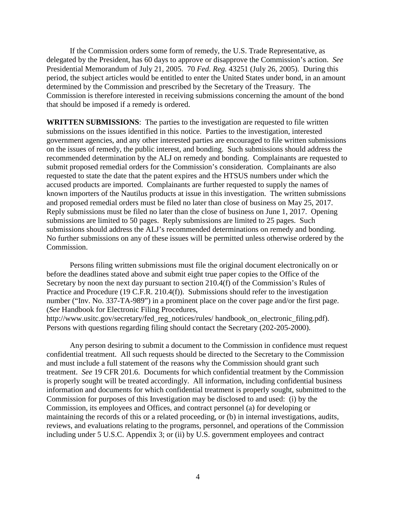If the Commission orders some form of remedy, the U.S. Trade Representative, as delegated by the President, has 60 days to approve or disapprove the Commission's action. *See*  Presidential Memorandum of July 21, 2005. 70 *Fed. Reg.* 43251 (July 26, 2005). During this period, the subject articles would be entitled to enter the United States under bond, in an amount determined by the Commission and prescribed by the Secretary of the Treasury. The Commission is therefore interested in receiving submissions concerning the amount of the bond that should be imposed if a remedy is ordered.

**WRITTEN SUBMISSIONS**: The parties to the investigation are requested to file written submissions on the issues identified in this notice. Parties to the investigation, interested government agencies, and any other interested parties are encouraged to file written submissions on the issues of remedy, the public interest, and bonding. Such submissions should address the recommended determination by the ALJ on remedy and bonding. Complainants are requested to submit proposed remedial orders for the Commission's consideration. Complainants are also requested to state the date that the patent expires and the HTSUS numbers under which the accused products are imported. Complainants are further requested to supply the names of known importers of the Nautilus products at issue in this investigation. The written submissions and proposed remedial orders must be filed no later than close of business on May 25, 2017. Reply submissions must be filed no later than the close of business on June 1, 2017. Opening submissions are limited to 50 pages. Reply submissions are limited to 25 pages. Such submissions should address the ALJ's recommended determinations on remedy and bonding. No further submissions on any of these issues will be permitted unless otherwise ordered by the Commission.

Persons filing written submissions must file the original document electronically on or before the deadlines stated above and submit eight true paper copies to the Office of the Secretary by noon the next day pursuant to section 210.4(f) of the Commission's Rules of Practice and Procedure (19 C.F.R. 210.4(f)). Submissions should refer to the investigation number ("Inv. No. 337-TA-989") in a prominent place on the cover page and/or the first page. (*See* Handbook for Electronic Filing Procedures, http://www.usitc.gov/secretary/fed\_reg\_notices/rules/ handbook\_on\_electronic\_filing.pdf). Persons with questions regarding filing should contact the Secretary (202-205-2000).

Any person desiring to submit a document to the Commission in confidence must request confidential treatment. All such requests should be directed to the Secretary to the Commission and must include a full statement of the reasons why the Commission should grant such treatment. *See* 19 CFR 201.6. Documents for which confidential treatment by the Commission is properly sought will be treated accordingly. All information, including confidential business information and documents for which confidential treatment is properly sought, submitted to the Commission for purposes of this Investigation may be disclosed to and used: (i) by the Commission, its employees and Offices, and contract personnel (a) for developing or maintaining the records of this or a related proceeding, or (b) in internal investigations, audits, reviews, and evaluations relating to the programs, personnel, and operations of the Commission including under 5 U.S.C. Appendix 3; or (ii) by U.S. government employees and contract